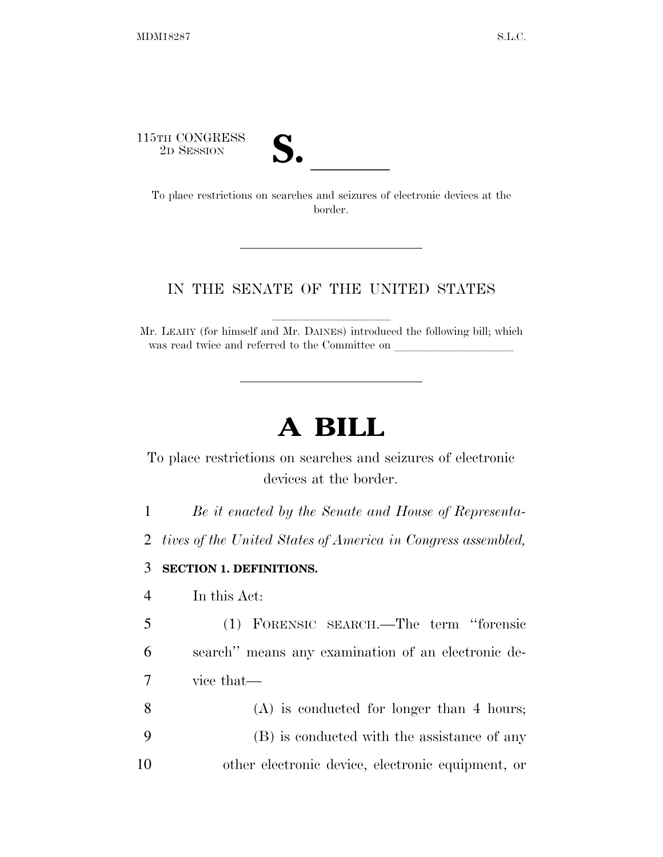115TH CONGRESS<br>2D SESSION

<sup>57H</sup> CONGRESS<br>
<sup>2D SESSION</sup><br> **S.** <u>Conservations</u> on searches and seizures of electronic devices at the border.

## IN THE SENATE OF THE UNITED STATES

Mr. LEAHY (for himself and Mr. DAINES) introduced the following bill; which was read twice and referred to the Committee on

## **A BILL**

To place restrictions on searches and seizures of electronic devices at the border.

1 *Be it enacted by the Senate and House of Representa-*

2 *tives of the United States of America in Congress assembled,* 

## 3 **SECTION 1. DEFINITIONS.**

4 In this Act:

5 (1) FORENSIC SEARCH.—The term ''forensic 6 search'' means any examination of an electronic de-7 vice that—

8 (A) is conducted for longer than 4 hours; 9 (B) is conducted with the assistance of any 10 other electronic device, electronic equipment, or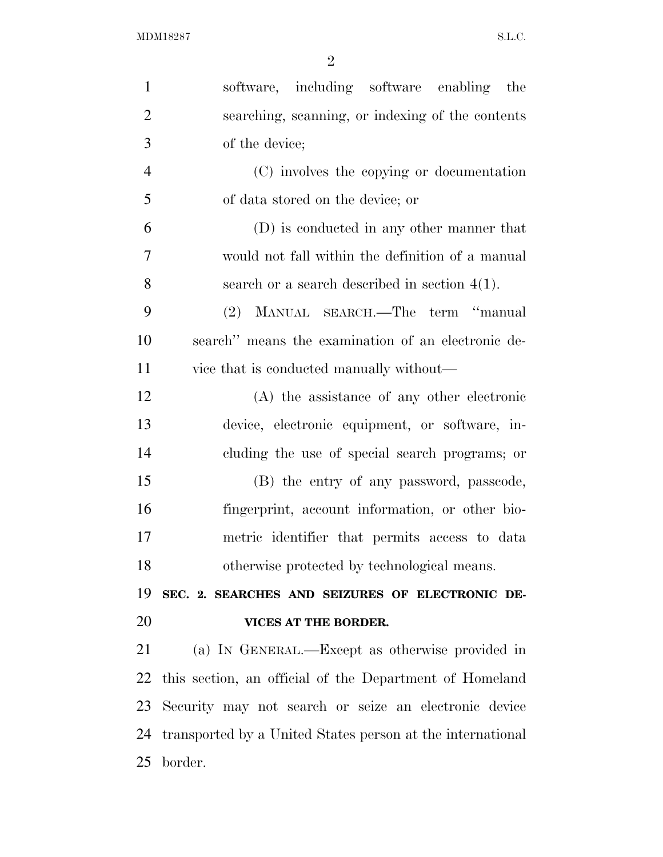| $\mathbf{1}$   | software, including software enabling the                  |
|----------------|------------------------------------------------------------|
| $\overline{2}$ | searching, scanning, or indexing of the contents           |
| 3              | of the device;                                             |
| $\overline{4}$ | (C) involves the copying or documentation                  |
| 5              | of data stored on the device; or                           |
| 6              | (D) is conducted in any other manner that                  |
| $\overline{7}$ | would not fall within the definition of a manual           |
| 8              | search or a search described in section $4(1)$ .           |
| 9              | (2) MANUAL SEARCH.—The term "manual                        |
| 10             | search" means the examination of an electronic de-         |
| 11             | vice that is conducted manually without—                   |
| 12             | (A) the assistance of any other electronic                 |
| 13             | device, electronic equipment, or software, in-             |
| 14             | cluding the use of special search programs; or             |
| 15             | (B) the entry of any password, passcode,                   |
| 16             | fingerprint, account information, or other bio-            |
| 17             | metric identifier that permits access to data              |
| 18             | otherwise protected by technological means.                |
| 19             | SEC. 2. SEARCHES AND SEIZURES OF ELECTRONIC DE-            |
| 20             | VICES AT THE BORDER.                                       |
| 21             | (a) IN GENERAL.—Except as otherwise provided in            |
| 22             | this section, an official of the Department of Homeland    |
| 23             | Security may not search or seize an electronic device      |
| 24             | transported by a United States person at the international |
| 25             | border.                                                    |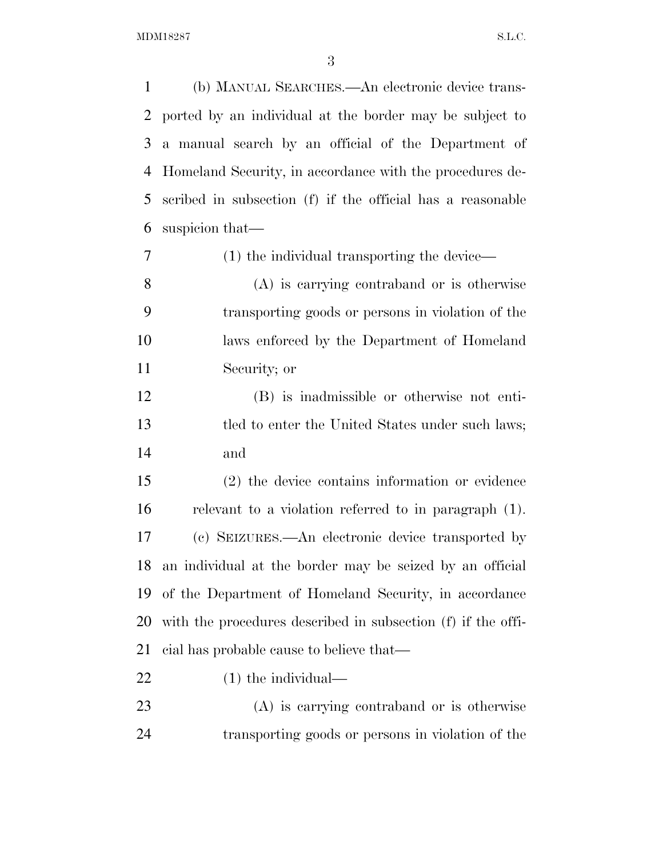(b) MANUAL SEARCHES.—An electronic device trans- ported by an individual at the border may be subject to a manual search by an official of the Department of Homeland Security, in accordance with the procedures de- scribed in subsection (f) if the official has a reasonable suspicion that—

(1) the individual transporting the device—

 (A) is carrying contraband or is otherwise transporting goods or persons in violation of the laws enforced by the Department of Homeland Security; or

 (B) is inadmissible or otherwise not enti- tled to enter the United States under such laws; and

 (2) the device contains information or evidence relevant to a violation referred to in paragraph (1). (c) SEIZURES.—An electronic device transported by an individual at the border may be seized by an official of the Department of Homeland Security, in accordance with the procedures described in subsection (f) if the offi-cial has probable cause to believe that—

(1) the individual—

 (A) is carrying contraband or is otherwise transporting goods or persons in violation of the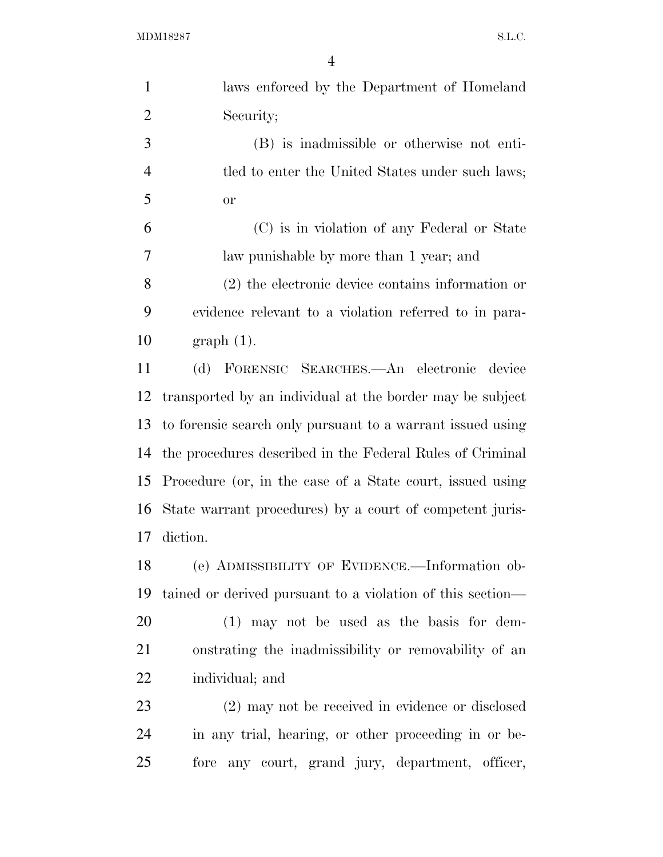| $\mathbf{1}$   | laws enforced by the Department of Homeland                |
|----------------|------------------------------------------------------------|
| $\overline{2}$ | Security;                                                  |
| 3              | (B) is inadmissible or otherwise not enti-                 |
| $\overline{4}$ | tled to enter the United States under such laws;           |
| 5              | <b>or</b>                                                  |
| 6              | (C) is in violation of any Federal or State                |
| 7              | law punishable by more than 1 year; and                    |
| 8              | $(2)$ the electronic device contains information or        |
| 9              | evidence relevant to a violation referred to in para-      |
| 10             | $graph(1)$ .                                               |
| 11             | (d) FORENSIC SEARCHES.—An electronic<br>device             |
| 12             | transported by an individual at the border may be subject  |
| 13             | to forensic search only pursuant to a warrant issued using |
| 14             | the procedures described in the Federal Rules of Criminal  |
| 15             | Procedure (or, in the case of a State court, issued using  |
| 16             | State warrant procedures) by a court of competent juris-   |
| 17             | diction.                                                   |
| 18             | (e) ADMISSIBILITY OF EVIDENCE.—Information ob-             |
| 19             | tained or derived pursuant to a violation of this section— |
| 20             | $(1)$ may not be used as the basis for dem-                |
| 21             | onstrating the inadmissibility or removability of an       |
| 22             | individual; and                                            |
| 23             | (2) may not be received in evidence or disclosed           |
| 24             | in any trial, hearing, or other proceeding in or be-       |
| 25             | fore any court, grand jury, department, officer,           |
|                |                                                            |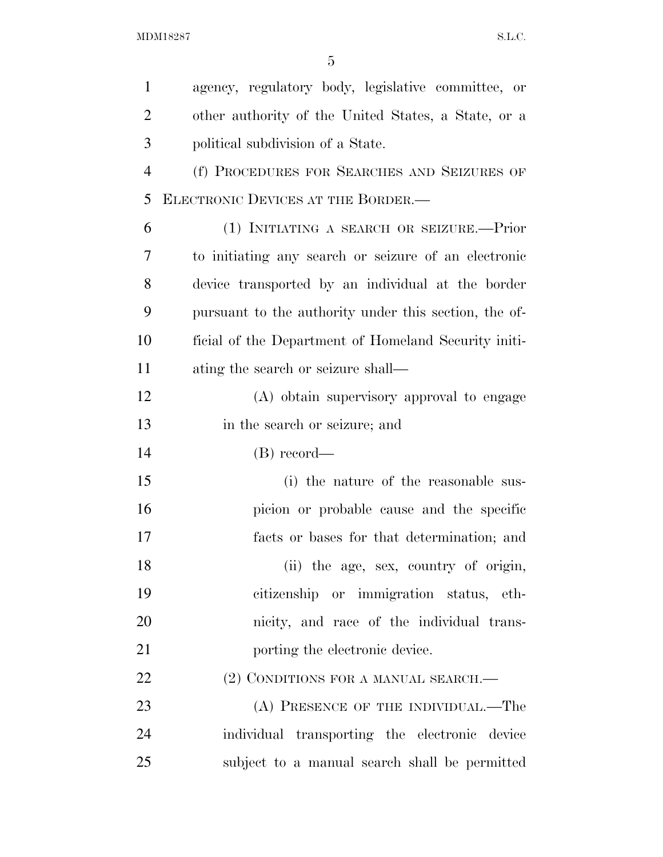| $\mathbf{1}$   | agency, regulatory body, legislative committee, or    |
|----------------|-------------------------------------------------------|
| $\overline{2}$ | other authority of the United States, a State, or a   |
| 3              | political subdivision of a State.                     |
| 4              | (f) PROCEDURES FOR SEARCHES AND SEIZURES OF           |
| 5              | ELECTRONIC DEVICES AT THE BORDER.-                    |
| 6              | (1) INITIATING A SEARCH OR SEIZURE.—Prior             |
| 7              | to initiating any search or seizure of an electronic  |
| 8              | device transported by an individual at the border     |
| 9              | pursuant to the authority under this section, the of- |
| 10             | ficial of the Department of Homeland Security initi-  |
| 11             | ating the search or seizure shall—                    |
| 12             | (A) obtain supervisory approval to engage             |
| 13             | in the search or seizure; and                         |
| 14             | $(B)$ record—                                         |
| 15             | (i) the nature of the reasonable sus-                 |
| 16             | picion or probable cause and the specific             |
| 17             | facts or bases for that determination; and            |
| 18             | (ii) the age, sex, country of origin,                 |
| 19             | citizenship or immigration status, eth-               |
| 20             | nicity, and race of the individual trans-             |
| 21             | porting the electronic device.                        |
| 22             | (2) CONDITIONS FOR A MANUAL SEARCH.—                  |
| 23             | (A) PRESENCE OF THE INDIVIDUAL.—The                   |
| 24             | individual transporting the electronic device         |
| 25             | subject to a manual search shall be permitted         |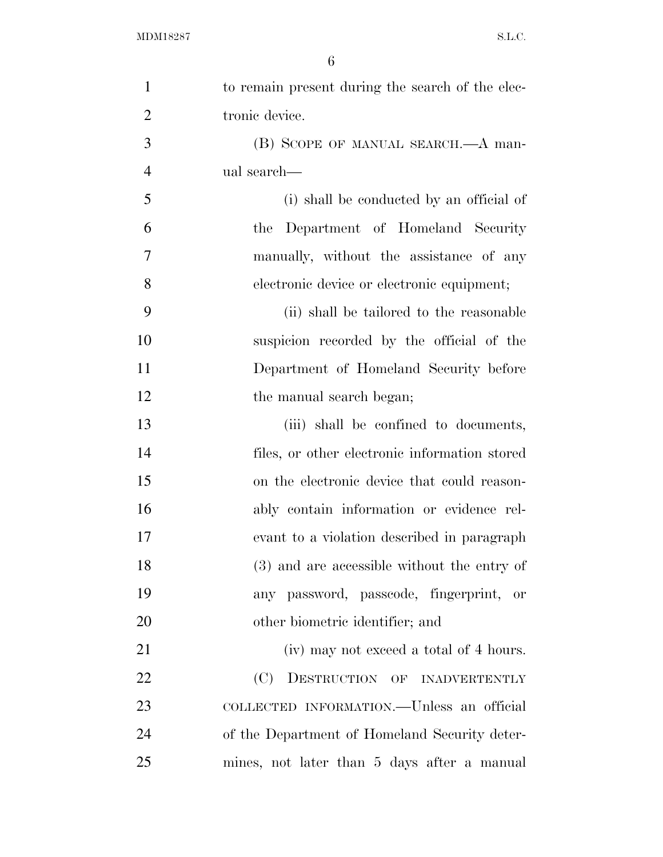| $\mathbf{1}$   | to remain present during the search of the elec- |
|----------------|--------------------------------------------------|
| $\overline{2}$ | tronic device.                                   |
| 3              | (B) SCOPE OF MANUAL SEARCH.—A man-               |
| $\overline{4}$ | ual search—                                      |
| 5              | (i) shall be conducted by an official of         |
| 6              | Department of Homeland Security<br>the           |
| 7              | manually, without the assistance of any          |
| 8              | electronic device or electronic equipment;       |
| 9              | (ii) shall be tailored to the reasonable         |
| 10             | suspicion recorded by the official of the        |
| 11             | Department of Homeland Security before           |
| 12             | the manual search began;                         |
| 13             | (iii) shall be confined to documents,            |
| 14             | files, or other electronic information stored    |
| 15             | on the electronic device that could reason-      |
| 16             | ably contain information or evidence rel-        |
| 17             | evant to a violation described in paragraph      |
| 18             | $(3)$ and are accessible without the entry of    |
| 19             | any password, passeode, fingerprint, or          |
| 20             | other biometric identifier; and                  |
| 21             | (iv) may not exceed a total of 4 hours.          |
| 22             | (C) DESTRUCTION OF INADVERTENTLY                 |
| 23             | COLLECTED INFORMATION.—Unless an official        |
| 24             | of the Department of Homeland Security deter-    |
| 25             | mines, not later than 5 days after a manual      |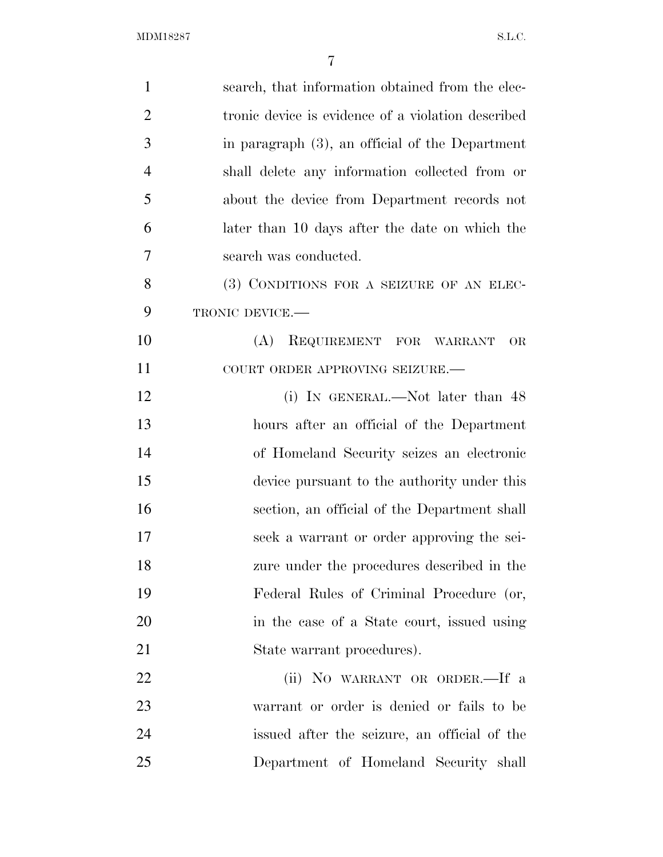| $\mathbf{1}$   | search, that information obtained from the elec-   |
|----------------|----------------------------------------------------|
| $\overline{2}$ | tronic device is evidence of a violation described |
| 3              | in paragraph $(3)$ , an official of the Department |
| $\overline{4}$ | shall delete any information collected from or     |
| 5              | about the device from Department records not       |
| 6              | later than 10 days after the date on which the     |
| 7              | search was conducted.                              |
| 8              | (3) CONDITIONS FOR A SEIZURE OF AN ELEC-           |
| 9              | TRONIC DEVICE.-                                    |
| 10             | (A)<br>REQUIREMENT FOR WARRANT<br>OR               |
| 11             | COURT ORDER APPROVING SEIZURE.-                    |
| 12             | (i) IN GENERAL.—Not later than $48$                |
| 13             | hours after an official of the Department          |
| 14             | of Homeland Security seizes an electronic          |
| 15             | device pursuant to the authority under this        |
| 16             | section, an official of the Department shall       |
| 17             | seek a warrant or order approving the sei-         |
| 18             | zure under the procedures described in the         |
| 19             | Federal Rules of Criminal Procedure (or,           |
| 20             | in the case of a State court, issued using         |
| 21             | State warrant procedures).                         |
| 22             | (ii) NO WARRANT OR ORDER.-If a                     |
| 23             | warrant or order is denied or fails to be          |
| 24             | issued after the seizure, an official of the       |
| 25             | Department of Homeland Security shall              |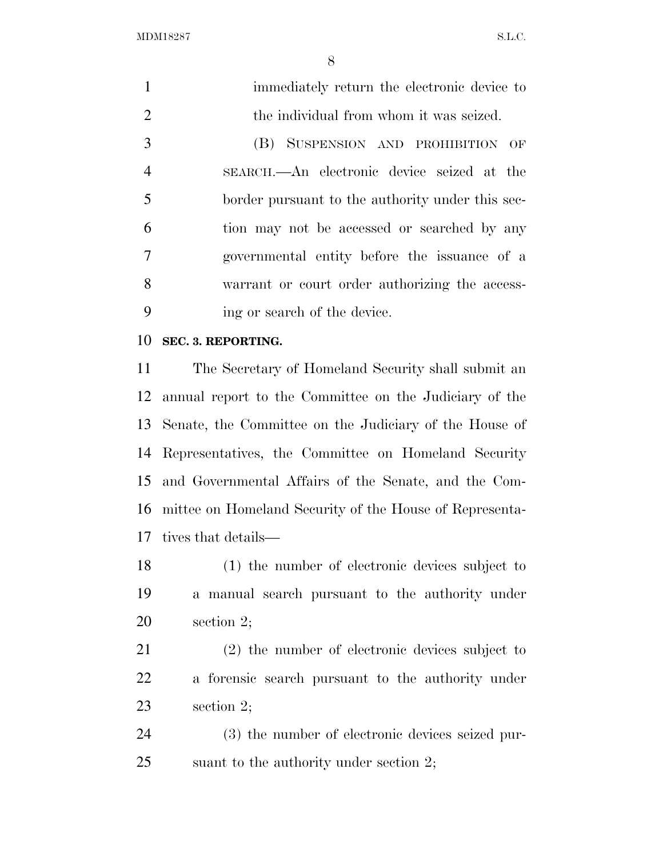$\mathsf{Q}$ 

| $\mathbf{1}$   | immediately return the electronic device to             |
|----------------|---------------------------------------------------------|
| $\overline{2}$ | the individual from whom it was seized.                 |
| 3              | (B) SUSPENSION AND PROHIBITION OF                       |
| $\overline{4}$ | SEARCH.—An electronic device seized at the              |
| 5              | border pursuant to the authority under this sec-        |
| 6              | tion may not be accessed or searched by any             |
| 7              | governmental entity before the issuance of a            |
| 8              | warrant or court order authorizing the access-          |
| 9              | ing or search of the device.                            |
| 10             | SEC. 3. REPORTING.                                      |
| 11             | The Secretary of Homeland Security shall submit an      |
| 12             | annual report to the Committee on the Judiciary of the  |
| 13             | Senate, the Committee on the Judiciary of the House of  |
| 14             | Representatives, the Committee on Homeland Security     |
| 15             | and Governmental Affairs of the Senate, and the Com-    |
| 16             | mittee on Homeland Security of the House of Representa- |
|                | 17 tives that details—                                  |
| 18             | (1) the number of electronic devices subject to         |
| 19             | a manual search pursuant to the authority under         |
| 20             | section $2;$                                            |
| 21             | $(2)$ the number of electronic devices subject to       |
| 22             | a forensic search pursuant to the authority under       |
| 23             | section $2$ ;                                           |
| 24             | (3) the number of electronic devices seized pur-        |

25 suant to the authority under section 2;